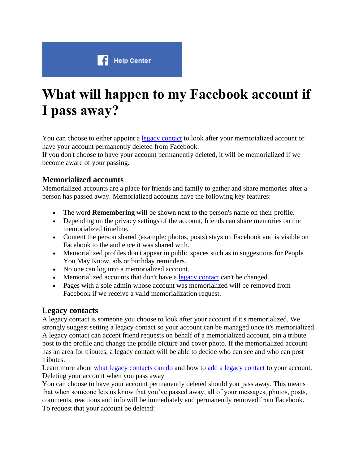

## **What will happen to my Facebook account if I pass away?**

You can choose to either appoint a [legacy contact](https://www.facebook.com/help/1568013990080948) to look after your memorialized account or have your account permanently deleted from Facebook.

If you don't choose to have your account permanently deleted, it will be memorialized if we become aware of your passing.

## **Memorialized accounts**

Memorialized accounts are a place for friends and family to gather and share memories after a person has passed away. Memorialized accounts have the following key features:

- The word **Remembering** will be shown next to the person's name on their profile.
- Depending on the privacy settings of the account, friends can share memories on the memorialized timeline.
- Content the person shared (example: photos, posts) stays on Facebook and is visible on Facebook to the audience it was shared with.
- Memorialized profiles don't appear in public spaces such as in suggestions for People You May Know, ads or birthday reminders.
- No one can log into a memorialized account.
- Memorialized accounts that don't have a [legacy contact](https://www.facebook.com/help/1568013990080948) can't be changed.
- Pages with a sole admin whose account was memorialized will be removed from Facebook if we receive a valid memorialization request.

## **Legacy contacts**

A legacy contact is someone you choose to look after your account if it's memorialized. We strongly suggest setting a legacy contact so your account can be managed once it's memorialized. A legacy contact can accept friend requests on behalf of a memorialized account, pin a tribute post to the profile and change the profile picture and cover photo. If the memorialized account has an area for tributes, a legacy contact will be able to decide who can see and who can post tributes.

Learn more about [what legacy contacts can do](https://www.facebook.com/help/1568013990080948) and how to [add a legacy contact](https://www.facebook.com/help/1070665206293088) to your account. Deleting your account when you pass away

You can choose to have your account permanently deleted should you pass away. This means that when someone lets us know that you've passed away, all of your messages, photos, posts, comments, reactions and info will be immediately and permanently removed from Facebook. To request that your account be deleted: